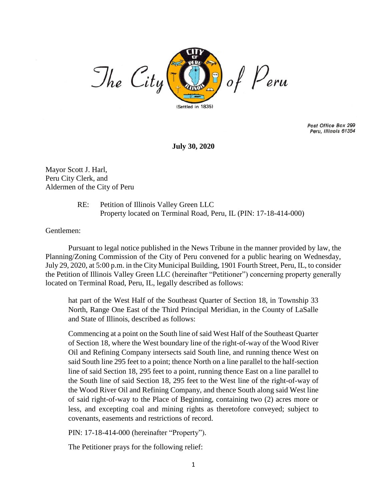

Post Office Box 299 Peru, Illinois 61354

**July 30, 2020**

Mayor Scott J. Harl, Peru City Clerk, and Aldermen of the City of Peru

> RE: Petition of Illinois Valley Green LLC Property located on Terminal Road, Peru, IL (PIN: 17-18-414-000)

Gentlemen:

Pursuant to legal notice published in the News Tribune in the manner provided by law, the Planning/Zoning Commission of the City of Peru convened for a public hearing on Wednesday, July 29, 2020, at 5:00 p.m. in the City Municipal Building, 1901 Fourth Street, Peru, IL, to consider the Petition of Illinois Valley Green LLC (hereinafter "Petitioner") concerning property generally located on Terminal Road, Peru, IL, legally described as follows:

hat part of the West Half of the Southeast Quarter of Section 18, in Township 33 North, Range One East of the Third Principal Meridian, in the County of LaSalle and State of Illinois, described as follows:

Commencing at a point on the South line of said West Half of the Southeast Quarter of Section 18, where the West boundary line of the right-of-way of the Wood River Oil and Refining Company intersects said South line, and running thence West on said South line 295 feet to a point; thence North on a line parallel to the half-section line of said Section 18, 295 feet to a point, running thence East on a line parallel to the South line of said Section 18, 295 feet to the West line of the right-of-way of the Wood River Oil and Refining Company, and thence South along said West line of said right-of-way to the Place of Beginning, containing two (2) acres more or less, and excepting coal and mining rights as theretofore conveyed; subject to covenants, easements and restrictions of record.

PIN: 17-18-414-000 (hereinafter "Property").

The Petitioner prays for the following relief: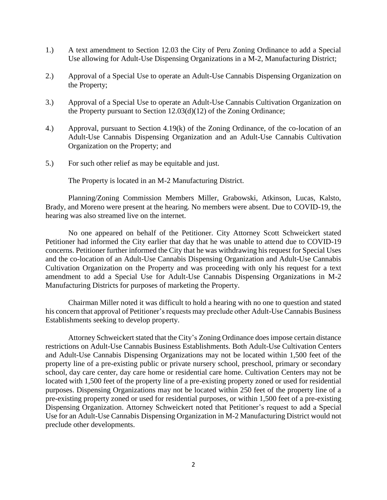- 1.) A text amendment to Section 12.03 the City of Peru Zoning Ordinance to add a Special Use allowing for Adult-Use Dispensing Organizations in a M-2, Manufacturing District;
- 2.) Approval of a Special Use to operate an Adult-Use Cannabis Dispensing Organization on the Property;
- 3.) Approval of a Special Use to operate an Adult-Use Cannabis Cultivation Organization on the Property pursuant to Section 12.03(d)(12) of the Zoning Ordinance;
- 4.) Approval, pursuant to Section 4.19(k) of the Zoning Ordinance, of the co-location of an Adult-Use Cannabis Dispensing Organization and an Adult-Use Cannabis Cultivation Organization on the Property; and
- 5.) For such other relief as may be equitable and just.

The Property is located in an M-2 Manufacturing District.

Planning/Zoning Commission Members Miller, Grabowski, Atkinson, Lucas, Kalsto, Brady, and Moreno were present at the hearing. No members were absent. Due to COVID-19, the hearing was also streamed live on the internet.

No one appeared on behalf of the Petitioner. City Attorney Scott Schweickert stated Petitioner had informed the City earlier that day that he was unable to attend due to COVID-19 concerns. Petitioner further informed the City that he was withdrawing his request for Special Uses and the co-location of an Adult-Use Cannabis Dispensing Organization and Adult-Use Cannabis Cultivation Organization on the Property and was proceeding with only his request for a text amendment to add a Special Use for Adult-Use Cannabis Dispensing Organizations in M-2 Manufacturing Districts for purposes of marketing the Property.

Chairman Miller noted it was difficult to hold a hearing with no one to question and stated his concern that approval of Petitioner's requests may preclude other Adult-Use Cannabis Business Establishments seeking to develop property.

Attorney Schweickert stated that the City's Zoning Ordinance does impose certain distance restrictions on Adult-Use Cannabis Business Establishments. Both Adult-Use Cultivation Centers and Adult-Use Cannabis Dispensing Organizations may not be located within 1,500 feet of the property line of a pre-existing public or private nursery school, preschool, primary or secondary school, day care center, day care home or residential care home. Cultivation Centers may not be located with 1,500 feet of the property line of a pre-existing property zoned or used for residential purposes. Dispensing Organizations may not be located within 250 feet of the property line of a pre-existing property zoned or used for residential purposes, or within 1,500 feet of a pre-existing Dispensing Organization. Attorney Schweickert noted that Petitioner's request to add a Special Use for an Adult-Use Cannabis Dispensing Organization in M-2 Manufacturing District would not preclude other developments.